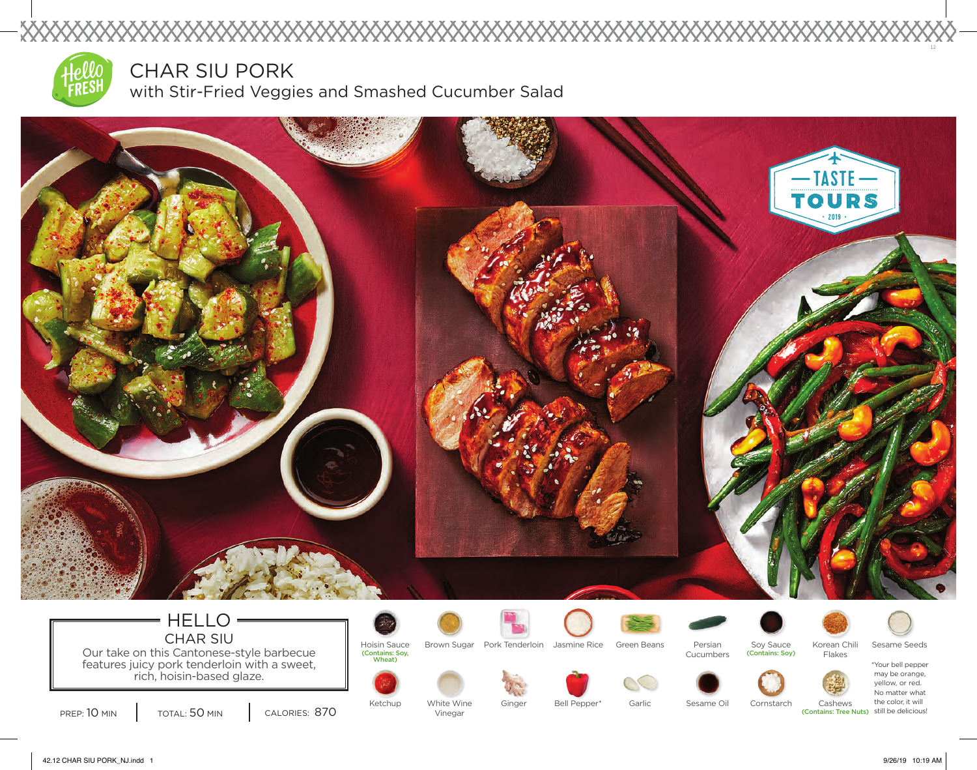

XXXXXX

CHAR SIU PORK

with Stir-Fried Veggies and Smashed Cucumber Salad



42.12 CHAR SIU PORK\_NJ.indd 1 9/26/19 10:19 AM

12